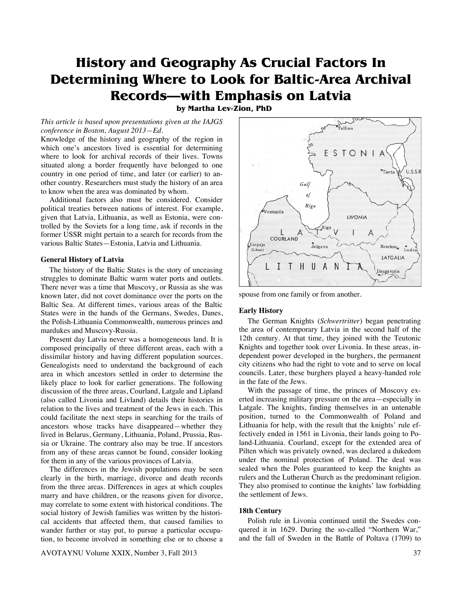# **History and Geography As Crucial Factors In Determining Where to Look for Baltic-Area Archival Records—with Emphasis on Latvia**

**by Martha Lev-Zion, PhD** 

*This article is based upon presentations given at the IAJGS conference in Boston, August 2013—Ed.* 

Knowledge of the history and geography of the region in which one's ancestors lived is essential for determining where to look for archival records of their lives. Towns situated along a border frequently have belonged to one country in one period of time, and later (or earlier) to another country. Researchers must study the history of an area to know when the area was dominated by whom.

 Additional factors also must be considered. Consider political treaties between nations of interest. For example, given that Latvia, Lithuania, as well as Estonia, were controlled by the Soviets for a long time, ask if records in the former USSR might pertain to a search for records from the various Baltic States—Estonia, Latvia and Lithuania.

## **General History of Latvia**

 The history of the Baltic States is the story of unceasing struggles to dominate Baltic warm water ports and outlets. There never was a time that Muscovy, or Russia as she was known later, did not covet dominance over the ports on the Baltic Sea. At different times, various areas of the Baltic States were in the hands of the Germans, Swedes, Danes, the Polish-Lithuania Commonwealth, numerous princes and mardukes and Muscovy-Russia.

 Present day Latvia never was a homogeneous land. It is composed principally of three different areas, each with a dissimilar history and having different population sources. Genealogists need to understand the background of each area in which ancestors settled in order to determine the likely place to look for earlier generations. The following discussion of the three areas, Courland, Latgale and Lipland (also called Livonia and Livland) details their histories in relation to the lives and treatment of the Jews in each. This could facilitate the next steps in searching for the trails of ancestors whose tracks have disappeared—whether they lived in Belarus, Germany, Lithuania, Poland, Prussia, Russia or Ukraine. The contrary also may be true. If ancestors from any of these areas cannot be found, consider looking for them in any of the various provinces of Latvia.

 The differences in the Jewish populations may be seen clearly in the birth, marriage, divorce and death records from the three areas. Differences in ages at which couples marry and have children, or the reasons given for divorce, may correlate to some extent with historical conditions. The social history of Jewish families was written by the historical accidents that affected them, that caused families to wander further or stay put, to pursue a particular occupation, to become involved in something else or to choose a



spouse from one family or from another.

#### **Early History**

 The German Knights (*Schwertritter*) began penetrating the area of contemporary Latvia in the second half of the 12th century. At that time, they joined with the Teutonic Knights and together took over Livonia. In these areas, independent power developed in the burghers, the permanent city citizens who had the right to vote and to serve on local councils. Later, these burghers played a heavy-handed role in the fate of the Jews.

 With the passage of time, the princes of Moscovy exerted increasing military pressure on the area—especially in Latgale. The knights, finding themselves in an untenable position, turned to the Commonwealth of Poland and Lithuania for help, with the result that the knights' rule effectively ended in 1561 in Livonia, their lands going to Poland-Lithuania. Courland, except for the extended area of Pilten which was privately owned, was declared a dukedom under the nominal protection of Poland. The deal was sealed when the Poles guaranteed to keep the knights as rulers and the Lutheran Church as the predominant religion. They also promised to continue the knights' law forbidding the settlement of Jews.

#### **18th Century**

 Polish rule in Livonia continued until the Swedes conquered it in 1629. During the so-called "Northern War," and the fall of Sweden in the Battle of Poltava (1709) to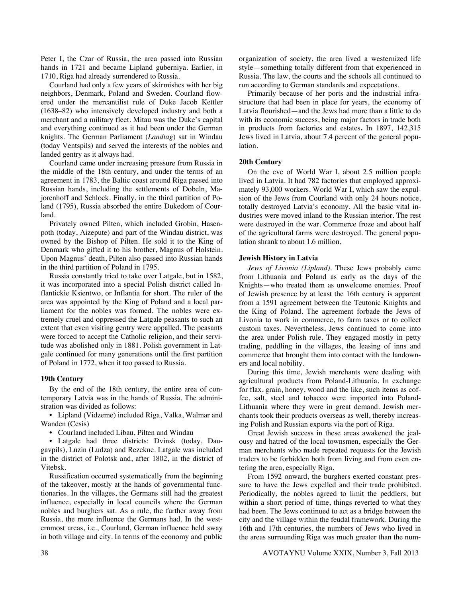Peter I, the Czar of Russia, the area passed into Russian hands in 1721 and became Lipland guberniya. Earlier, in 1710, Riga had already surrendered to Russia.

 Courland had only a few years of skirmishes with her big neighbors, Denmark, Poland and Sweden. Courland flowered under the mercantilist rule of Duke Jacob Kettler (1638–82) who intensively developed industry and both a merchant and a military fleet. Mitau was the Duke's capital and everything continued as it had been under the German knights. The German Parliament (*Landtag*) sat in Windau (today Ventspils) and served the interests of the nobles and landed gentry as it always had.

 Courland came under increasing pressure from Russia in the middle of the 18th century, and under the terms of an agreement in 1783, the Baltic coast around Riga passed into Russian hands, including the settlements of Dobeln, Majorenhoff and Schlock. Finally, in the third partition of Poland (1795), Russia absorbed the entire Dukedom of Courland.

 Privately owned Pilten, which included Grobin, Hasenpoth (today, Aizepute) and part of the Windau district, was owned by the Bishop of Pilten. He sold it to the King of Denmark who gifted it to his brother, Magnus of Holstein. Upon Magnus' death, Pilten also passed into Russian hands in the third partition of Poland in 1795.

 Russia constantly tried to take over Latgale, but in 1582, it was incorporated into a special Polish district called Inflantickie Ksientwo, or Inflantia for short. The ruler of the area was appointed by the King of Poland and a local parliament for the nobles was formed. The nobles were extremely cruel and oppressed the Latgale peasants to such an extent that even visiting gentry were appalled. The peasants were forced to accept the Catholic religion, and their servitude was abolished only in 1881. Polish government in Latgale continued for many generations until the first partition of Poland in 1772, when it too passed to Russia.

#### **19th Century**

 By the end of the 18th century, the entire area of contemporary Latvia was in the hands of Russia. The administration was divided as follows:

 • Lipland (Vidzeme) included Riga, Valka, Walmar and Wanden (Cesis)

• Courland included Libau, Pilten and Windau

 • Latgale had three districts: Dvinsk (today, Daugavpils), Luzin (Ludza) and Rezekne. Latgale was included in the district of Polotsk and, after 1802, in the district of Vitebsk.

 Russification occurred systematically from the beginning of the takeover, mostly at the hands of governmental functionaries. In the villages, the Germans still had the greatest influence, especially in local councils where the German nobles and burghers sat. As a rule, the further away from Russia, the more influence the Germans had. In the westernmost areas, i.e., Courland, German influence held sway in both village and city. In terms of the economy and public organization of society, the area lived a westernized life style—something totally different from that experienced in Russia. The law, the courts and the schools all continued to run according to German standards and expectations.

 Primarily because of her ports and the industrial infrastructure that had been in place for years, the economy of Latvia flourished—and the Jews had more than a little to do with its economic success, being major factors in trade both in products from factories and estates**.** In 1897, 142,315 Jews lived in Latvia, about 7.4 percent of the general population.

#### **20th Century**

 On the eve of World War I, about 2.5 million people lived in Latvia. It had 782 factories that employed approximately 93,000 workers. World War I, which saw the expulsion of the Jews from Courland with only 24 hours notice, totally destroyed Latvia's economy. All the basic vital industries were moved inland to the Russian interior. The rest were destroyed in the war. Commerce froze and about half of the agricultural farms were destroyed. The general population shrank to about 1.6 million,

#### **Jewish History in Latvia**

*Jews of Livonia (Lipland).* These Jews probably came from Lithuania and Poland as early as the days of the Knights—who treated them as unwelcome enemies. Proof of Jewish presence by at least the 16th century is apparent from a 1591 agreement between the Teutonic Knights and the King of Poland. The agreement forbade the Jews of Livonia to work in commerce, to farm taxes or to collect custom taxes. Nevertheless, Jews continued to come into the area under Polish rule. They engaged mostly in petty trading, peddling in the villages, the leasing of inns and commerce that brought them into contact with the landowners and local nobility.

 During this time, Jewish merchants were dealing with agricultural products from Poland-Lithuania. In exchange for flax, grain, honey, wood and the like, such items as coffee, salt, steel and tobacco were imported into Poland-Lithuania where they were in great demand. Jewish merchants took their products overseas as well, thereby increasing Polish and Russian exports via the port of Riga.

 Great Jewish success in these areas awakened the jealousy and hatred of the local townsmen, especially the German merchants who made repeated requests for the Jewish traders to be forbidden both from living and from even entering the area, especially Riga.

 From 1592 onward, the burghers exerted constant pressure to have the Jews expelled and their trade prohibited. Periodically, the nobles agreed to limit the peddlers, but within a short period of time, things reverted to what they had been. The Jews continued to act as a bridge between the city and the village within the feudal framework. During the 16th and 17th centuries, the numbers of Jews who lived in the areas surrounding Riga was much greater than the num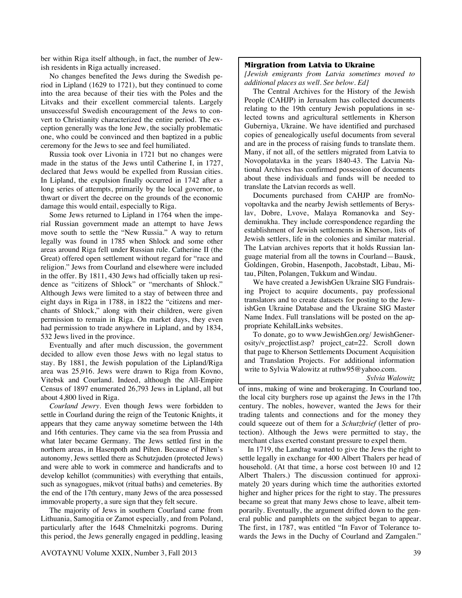ber within Riga itself although, in fact, the number of Jewish residents in Riga actually increased.

 No changes benefited the Jews during the Swedish period in Lipland (1629 to 1721), but they continued to come into the area because of their ties with the Poles and the Litvaks and their excellent commercial talents. Largely unsuccessful Swedish encouragement of the Jews to convert to Christianity characterized the entire period. The exception generally was the lone Jew, the socially problematic one, who could be convinced and then baptized in a public ceremony for the Jews to see and feel humiliated.

 Russia took over Livonia in 1721 but no changes were made in the status of the Jews until Catherine I, in 1727, declared that Jews would be expelled from Russian cities. In Lipland, the expulsion finally occurred in 1742 after a long series of attempts, primarily by the local governor, to thwart or divert the decree on the grounds of the economic damage this would entail, especially to Riga.

 Some Jews returned to Lipland in 1764 when the imperial Russian government made an attempt to have Jews move south to settle the "New Russia." A way to return legally was found in 1785 when Shlock and some other areas around Riga fell under Russian rule. Catherine II (the Great) offered open settlement without regard for "race and religion." Jews from Courland and elsewhere were included in the offer. By 1811, 430 Jews had officially taken up residence as "citizens of Shlock" or "merchants of Shlock." Although Jews were limited to a stay of between three and eight days in Riga in 1788, in 1822 the "citizens and merchants of Shlock," along with their children, were given permission to remain in Riga. On market days, they even had permission to trade anywhere in Lipland, and by 1834, 532 Jews lived in the province.

 Eventually and after much discussion, the government decided to allow even those Jews with no legal status to stay. By 1881, the Jewish population of the Lipland/Riga area was 25,916. Jews were drawn to Riga from Kovno, Vitebsk and Courland. Indeed, although the All-Empire Census of 1897 enumerated 26,793 Jews in Lipland, all but about 4,800 lived in Riga.

*Courland Jewry.* Even though Jews were forbidden to settle in Courland during the reign of the Teutonic Knights, it appears that they came anyway sometime between the 14th and 16th centuries. They came via the sea from Prussia and what later became Germany. The Jews settled first in the northern areas, in Hasenpoth and Pilten. Because of Pilten's autonomy, Jews settled there as Schutzjuden (protected Jews) and were able to work in commerce and handicrafts and to develop kehillot (communities) with everything that entails, such as synagogues, mikvot (ritual baths) and cemeteries. By the end of the 17th century, many Jews of the area possessed immovable property, a sure sign that they felt secure.

 The majority of Jews in southern Courland came from Lithuania, Samogitia or Zamot especially, and from Poland, particularly after the 1648 Chmelnitzki pogroms. During this period, the Jews generally engaged in peddling, leasing

### **Mirgration from Latvia to Ukraine**

*[Jewish emigrants from Latvia sometimes moved to additional places as well. See below. Ed]* 

 The Central Archives for the History of the Jewish People (CAHJP) in Jerusalem has collected documents relating to the 19th century Jewish populations in selected towns and agricultural settlements in Kherson Guberniya, Ukraine. We have identified and purchased copies of genealogically useful documents from several and are in the process of raising funds to translate them. Many, if not all, of the settlers migrated from Latvia to Novopolatavka in the years 1840-43. The Latvia National Archives has confirmed possession of documents about these individuals and funds will be needed to translate the Latvian records as well.

 Documents purchased from CAHJP are fromNovopoltavka and the nearby Jewish settlements of Beryslav, Dobre, Lvove, Malaya Romanovka and Seydeminukha. They include correspondence regarding the establishment of Jewish settlements in Kherson, lists of Jewish settlers, life in the colonies and similar material. The Latvian archives reports that it holds Russian language material from all the towns in Courland—Bausk, Goldingen, Grobin, Hasenpoth, Jacobstadt, Libau, Mitau, Pilten, Polangen, Tukkum and Windau.

 We have created a JewishGen Ukraine SIG Fundraising Project to acquire documents, pay professional translators and to create datasets for posting to the JewishGen Ukraine Database and the Ukraine SIG Master Name Index. Full translations will be posted on the appropriate KehilalLinks websites.

 To donate, go to www.JewishGen.org/ JewishGenerosity/v\_projectlist.asp? project\_cat=22. Scroll down that page to Kherson Settlements Document Acquisition and Translation Projects. For additional information write to Sylvia Walowitz at ruthw95@yahoo.com.

*Sylvia Walowitz*

of inns, making of wine and brokeraging. In Courland too, the local city burghers rose up against the Jews in the 17th century. The nobles, however, wanted the Jews for their trading talents and connections and for the money they could squeeze out of them for a *Schutzbrief* (letter of protection). Although the Jews were permitted to stay, the merchant class exerted constant pressure to expel them.

 In 1719, the Landtag wanted to give the Jews the right to settle legally in exchange for 400 Albert Thalers per head of household. (At that time, a horse cost between 10 and 12 Albert Thalers.) The discussion continued for approximately 20 years during which time the authorities extorted higher and higher prices for the right to stay. The pressures became so great that many Jews chose to leave, albeit temporarily. Eventually, the argument drifted down to the general public and pamphlets on the subject began to appear. The first, in 1787, was entitled "In Favor of Tolerance towards the Jews in the Duchy of Courland and Zamgalen."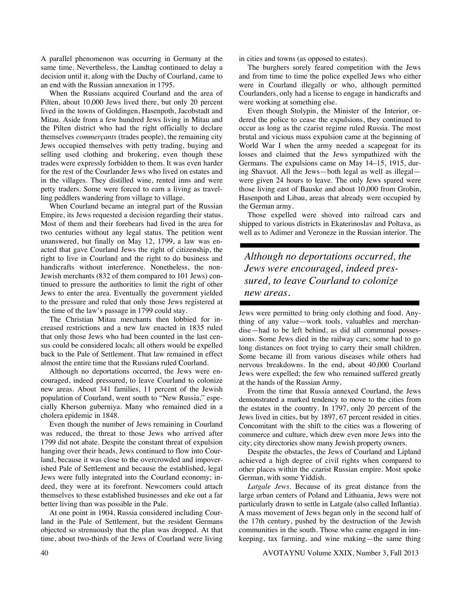A parallel phenomenon was occurring in Germany at the same time. Nevertheless, the Landtag continued to delay a decision until it, along with the Duchy of Courland, came to an end with the Russian annexation in 1795.

 When the Russians acquired Courland and the area of Pilten, about 10,000 Jews lived there, but only 20 percent lived in the towns of Goldingen, Hasenpoth, Jacobstadt and Mitau. Aside from a few hundred Jews living in Mitau and the Pilten district who had the right officially to declare themselves *commerçants* (trades people), the remaining city Jews occupied themselves with petty trading, buying and selling used clothing and brokering, even though these trades were expressly forbidden to them. It was even harder for the rest of the Courlander Jews who lived on estates and in the villages. They distilled wine, rented inns and were petty traders. Some were forced to earn a living as travelling peddlers wandering from village to village.

 When Courland became an integral part of the Russian Empire, its Jews requested a decision regarding their status. Most of them and their forebears had lived in the area for two centuries without any legal status. The petition went unanswered, but finally on May 12, 1799, a law was enacted that gave Courland Jews the right of citizenship, the right to live in Courland and the right to do business and handicrafts without interference. Nonetheless, the non-Jewish merchants (832 of them compared to 101 Jews) continued to pressure the authorities to limit the right of other Jews to enter the area. Eventually the government yielded to the pressure and ruled that only those Jews registered at the time of the law's passage in 1799 could stay.

 The Christian Mitau merchants then lobbied for increased restrictions and a new law enacted in 1835 ruled that only those Jews who had been counted in the last census could be considered locals; all others would be expelled back to the Pale of Settlement. That law remained in effect almost the entire time that the Russians ruled Courland.

 Although no deportations occurred, the Jews were encouraged, indeed pressured, to leave Courland to colonize new areas. About 341 families, 11 percent of the Jewish population of Courland, went south to "New Russia," especially Kherson guberniya. Many who remained died in a cholera epidemic in 1848.

 Even though the number of Jews remaining in Courland was reduced, the threat to those Jews who arrived after 1799 did not abate. Despite the constant threat of expulsion hanging over their heads, Jews continued to flow into Courland, because it was close to the overcrowded and impoverished Pale of Settlement and because the established, legal Jews were fully integrated into the Courland economy; indeed, they were at its forefront. Newcomers could attach themselves to these established businesses and eke out a far better living than was possible in the Pale.

 At one point in 1904, Russia considered including Courland in the Pale of Settlement, but the resident Germans objected so strenuously that the plan was dropped. At that time, about two-thirds of the Jews of Courland were living

in cities and towns (as opposed to estates).

 The burghers sorely feared competition with the Jews and from time to time the police expelled Jews who either were in Courland illegally or who, although permitted Courlanders, only had a license to engage in handicrafts and were working at something else.

 Even though Stolypin, the Minister of the Interior, ordered the police to cease the expulsions, they continued to occur as long as the czarist regime ruled Russia. The most brutal and vicious mass expulsion came at the beginning of World War I when the army needed a scapegoat for its losses and claimed that the Jews sympathized with the Germans. The expulsions came on May 14–15, 1915, during Shavuot. All the Jews—both legal as well as illegal were given 24 hours to leave. The only Jews spared were those living east of Bauske and about 10,000 from Grobin, Hasenpoth and Libau, areas that already were occupied by the German army.

 Those expelled were shoved into railroad cars and shipped to various districts in Ekaterinoslav and Poltava, as well as to Adimer and Veroneze in the Russian interior. The

*Although no deportations occurred, the Jews were encouraged, indeed pressured, to leave Courland to colonize new areas.* 

Jews were permitted to bring only clothing and food. Anything of any value—work tools, valuables and merchandise—had to be left behind, as did all communal possessions. Some Jews died in the railway cars; some had to go long distances on foot trying to carry their small children. Some became ill from various diseases while others had nervous breakdowns. In the end, about 40,000 Courland Jews were expelled; the few who remained suffered greatly at the hands of the Russian Army.

 From the time that Russia annexed Courland, the Jews demonstrated a marked tendency to move to the cities from the estates in the country. In 1797, only 20 percent of the Jews lived in cities, but by 1897, 67 percent resided in cities. Concomitant with the shift to the cities was a flowering of commerce and culture, which drew even more Jews into the city; city directories show many Jewish property owners.

 Despite the obstacles, the Jews of Courland and Lipland achieved a high degree of civil rights when compared to other places within the czarist Russian empire. Most spoke German, with some Yiddish.

*Latgale Jews.* Because of its great distance from the large urban centers of Poland and Lithuania, Jews were not particularly drawn to settle in Latgale (also called Inflantia). A mass movement of Jews began only in the second half of the 17th century, pushed by the destruction of the Jewish communities in the south. Those who came engaged in innkeeping, tax farming, and wine making—the same thing

40 AVOTAYNU Volume XXIX, Number 3, Fall 2013